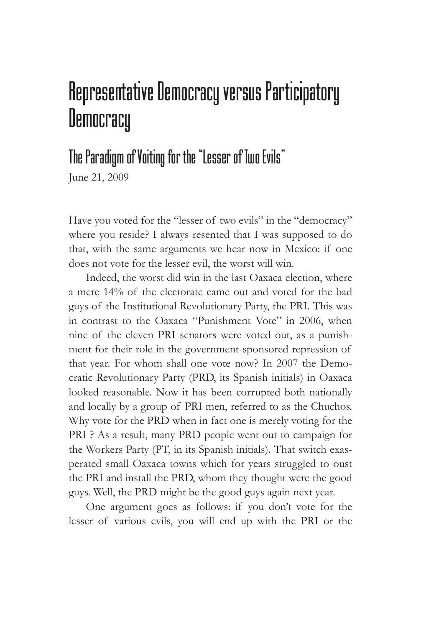## Representative Democracy versus Participatory **Democracy**

## The Paradigm of Voiting for the "Lesser of Two Evils"

June 21, 2009

Have you voted for the "lesser of two evils" in the "democracy" where you reside? I always resented that I was supposed to do that, with the same arguments we hear now in Mexico: if one does not vote for the lesser evil, the worst will win.

Indeed, the worst did win in the last Oaxaca election, where a mere 14% of the electorate came out and voted for the bad guys of the Institutional Revolutionary Party, the PRI. This was in contrast to the Oaxaca "Punishment Vote" in 2006, when nine of the eleven PRI senators were voted out, as a punishment for their role in the government-sponsored repression of that year. For whom shall one vote now? In 2007 the Democratic Revolutionary Party (PRD, its Spanish initials) in Oaxaca looked reasonable. Now it has been corrupted both nationally and locally by a group of PRI men, referred to as the Chuchos. Why vote for the PRD when in fact one is merely voting for the PRI ? As a result, many PRD people went out to campaign for the Workers Party (PT, in its Spanish initials). That switch exasperated small Oaxaca towns which for years struggled to oust the PRI and install the PRD, whom they thought were the good guys. Well, the PRD might be the good guys again next year.

One argument goes as follows: if you don't vote for the lesser of various evils, you will end up with the PRI or the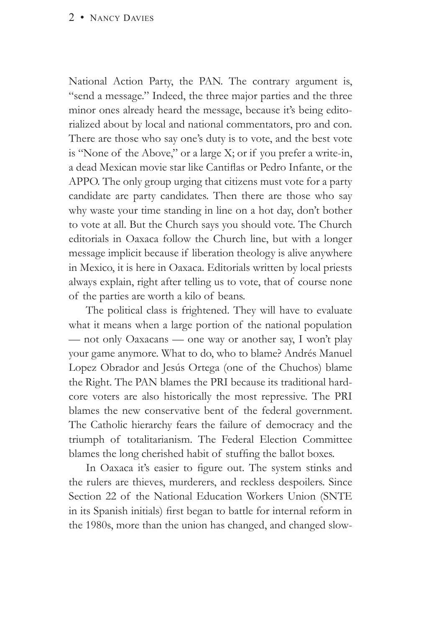## 2 • NANCY DAVIES

National Action Party, the PAN. The contrary argument is, "send a message." Indeed, the three major parties and the three minor ones already heard the message, because it's being editorialized about by local and national commentators, pro and con. There are those who say one's duty is to vote, and the best vote is "None of the Above," or a large X; or if you prefer a write-in, a dead Mexican movie star like Cantiflas or Pedro Infante, or the APPO. The only group urging that citizens must vote for a party candidate are party candidates. Then there are those who say why waste your time standing in line on a hot day, don't bother to vote at all. But the Church says you should vote. The Church editorials in Oaxaca follow the Church line, but with a longer message implicit because if liberation theology is alive anywhere in Mexico, it is here in Oaxaca. Editorials written by local priests always explain, right after telling us to vote, that of course none of the parties are worth a kilo of beans.

The political class is frightened. They will have to evaluate what it means when a large portion of the national population — not only Oaxacans — one way or another say, I won't play your game anymore. What to do, who to blame? Andrés Manuel Lopez Obrador and Jesús Ortega (one of the Chuchos) blame the Right. The PAN blames the PRI because its traditional hardcore voters are also historically the most repressive. The PRI blames the new conservative bent of the federal government. The Catholic hierarchy fears the failure of democracy and the triumph of totalitarianism. The Federal Election Committee blames the long cherished habit of stuffing the ballot boxes.

In Oaxaca it's easier to figure out. The system stinks and the rulers are thieves, murderers, and reckless despoilers. Since Section 22 of the National Education Workers Union (SNTE in its Spanish initials) first began to battle for internal reform in the 1980s, more than the union has changed, and changed slow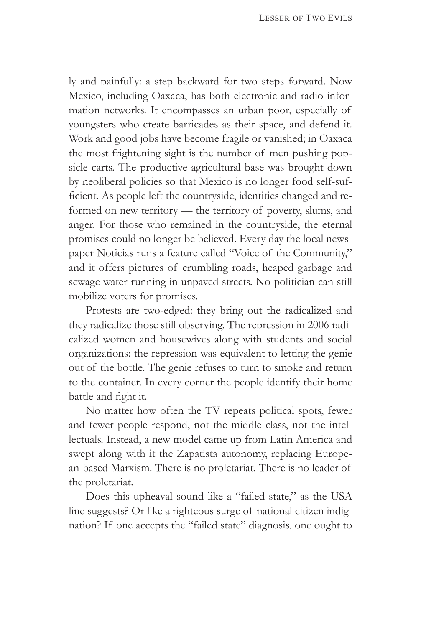ly and painfully: a step backward for two steps forward. Now Mexico, including Oaxaca, has both electronic and radio information networks. It encompasses an urban poor, especially of youngsters who create barricades as their space, and defend it. Work and good jobs have become fragile or vanished; in Oaxaca the most frightening sight is the number of men pushing popsicle carts. The productive agricultural base was brought down by neoliberal policies so that Mexico is no longer food self-sufficient. As people left the countryside, identities changed and reformed on new territory — the territory of poverty, slums, and anger. For those who remained in the countryside, the eternal promises could no longer be believed. Every day the local newspaper Noticias runs a feature called "Voice of the Community," and it offers pictures of crumbling roads, heaped garbage and sewage water running in unpaved streets. No politician can still mobilize voters for promises.

Protests are two-edged: they bring out the radicalized and they radicalize those still observing. The repression in 2006 radicalized women and housewives along with students and social organizations: the repression was equivalent to letting the genie out of the bottle. The genie refuses to turn to smoke and return to the container. In every corner the people identify their home battle and fight it.

No matter how often the TV repeats political spots, fewer and fewer people respond, not the middle class, not the intellectuals. Instead, a new model came up from Latin America and swept along with it the Zapatista autonomy, replacing European-based Marxism. There is no proletariat. There is no leader of the proletariat.

Does this upheaval sound like a "failed state," as the USA line suggests? Or like a righteous surge of national citizen indignation? If one accepts the "failed state" diagnosis, one ought to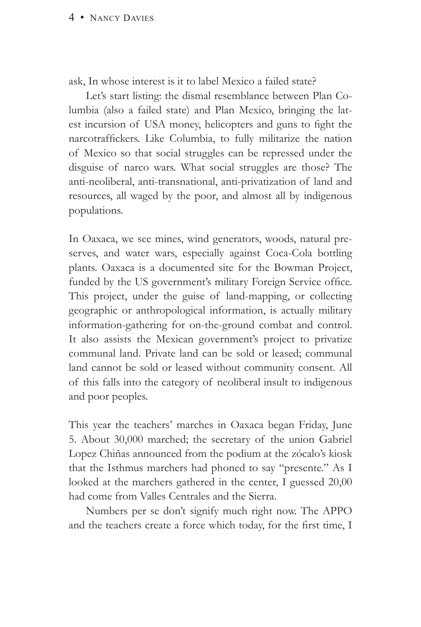ask, In whose interest is it to label Mexico a failed state?

Let's start listing: the dismal resemblance between Plan Columbia (also a failed state) and Plan Mexico, bringing the latest incursion of USA money, helicopters and guns to fight the narcotraffickers. Like Columbia, to fully militarize the nation of Mexico so that social struggles can be repressed under the disguise of narco wars. What social struggles are those? The anti-neoliberal, anti-transnational, anti-privatization of land and resources, all waged by the poor, and almost all by indigenous populations.

In Oaxaca, we see mines, wind generators, woods, natural preserves, and water wars, especially against Coca-Cola bottling plants. Oaxaca is a documented site for the Bowman Project, funded by the US government's military Foreign Service office. This project, under the guise of land-mapping, or collecting geographic or anthropological information, is actually military information-gathering for on-the-ground combat and control. It also assists the Mexican government's project to privatize communal land. Private land can be sold or leased; communal land cannot be sold or leased without community consent. All of this falls into the category of neoliberal insult to indigenous and poor peoples.

This year the teachers' marches in Oaxaca began Friday, June 5. About 30,000 marched; the secretary of the union Gabriel Lopez Chiñas announced from the podium at the zócalo's kiosk that the Isthmus marchers had phoned to say "presente." As I looked at the marchers gathered in the center, I guessed 20,00 had come from Valles Centrales and the Sierra.

Numbers per se don't signify much right now. The APPO and the teachers create a force which today, for the first time, I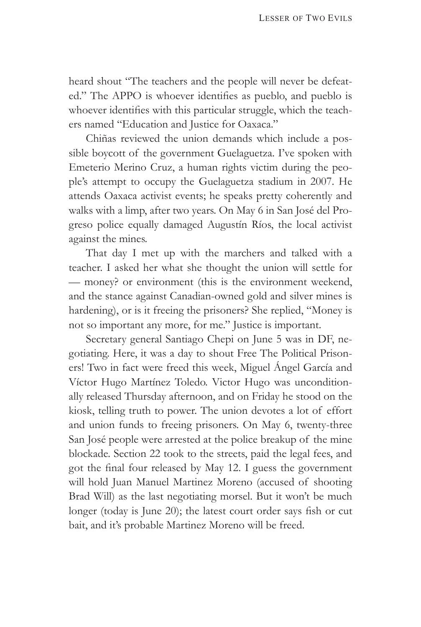heard shout "The teachers and the people will never be defeated." The APPO is whoever identifies as pueblo, and pueblo is whoever identifies with this particular struggle, which the teachers named "Education and Justice for Oaxaca."

Chiñas reviewed the union demands which include a possible boycott of the government Guelaguetza. I've spoken with Emeterio Merino Cruz, a human rights victim during the people's attempt to occupy the Guelaguetza stadium in 2007. He attends Oaxaca activist events; he speaks pretty coherently and walks with a limp, after two years. On May 6 in San José del Progreso police equally damaged Augustín Ríos, the local activist against the mines.

That day I met up with the marchers and talked with a teacher. I asked her what she thought the union will settle for — money? or environment (this is the environment weekend, and the stance against Canadian-owned gold and silver mines is hardening), or is it freeing the prisoners? She replied, "Money is not so important any more, for me." Justice is important.

Secretary general Santiago Chepi on June 5 was in DF, negotiating. Here, it was a day to shout Free The Political Prisoners! Two in fact were freed this week, Miguel Ángel García and Víctor Hugo Martínez Toledo. Victor Hugo was unconditionally released Thursday afternoon, and on Friday he stood on the kiosk, telling truth to power. The union devotes a lot of effort and union funds to freeing prisoners. On May 6, twenty-three San José people were arrested at the police breakup of the mine blockade. Section 22 took to the streets, paid the legal fees, and got the final four released by May 12. I guess the government will hold Juan Manuel Martinez Moreno (accused of shooting Brad Will) as the last negotiating morsel. But it won't be much longer (today is June 20); the latest court order says fish or cut bait, and it's probable Martinez Moreno will be freed.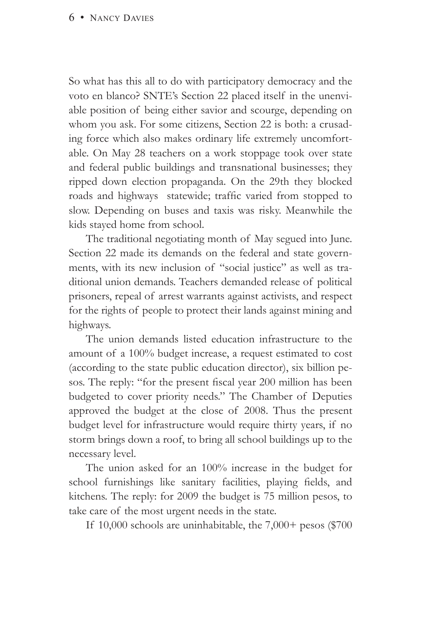So what has this all to do with participatory democracy and the voto en blanco? SNTE's Section 22 placed itself in the unenviable position of being either savior and scourge, depending on whom you ask. For some citizens, Section 22 is both: a crusading force which also makes ordinary life extremely uncomfortable. On May 28 teachers on a work stoppage took over state and federal public buildings and transnational businesses; they ripped down election propaganda. On the 29th they blocked roads and highways statewide; traffic varied from stopped to slow. Depending on buses and taxis was risky. Meanwhile the kids stayed home from school.

The traditional negotiating month of May segued into June. Section 22 made its demands on the federal and state governments, with its new inclusion of "social justice" as well as traditional union demands. Teachers demanded release of political prisoners, repeal of arrest warrants against activists, and respect for the rights of people to protect their lands against mining and highways.

The union demands listed education infrastructure to the amount of a 100% budget increase, a request estimated to cost (according to the state public education director), six billion pesos. The reply: "for the present fiscal year 200 million has been budgeted to cover priority needs." The Chamber of Deputies approved the budget at the close of 2008. Thus the present budget level for infrastructure would require thirty years, if no storm brings down a roof, to bring all school buildings up to the necessary level.

The union asked for an 100% increase in the budget for school furnishings like sanitary facilities, playing fields, and kitchens. The reply: for 2009 the budget is 75 million pesos, to take care of the most urgent needs in the state.

If 10,000 schools are uninhabitable, the 7,000+ pesos (\$700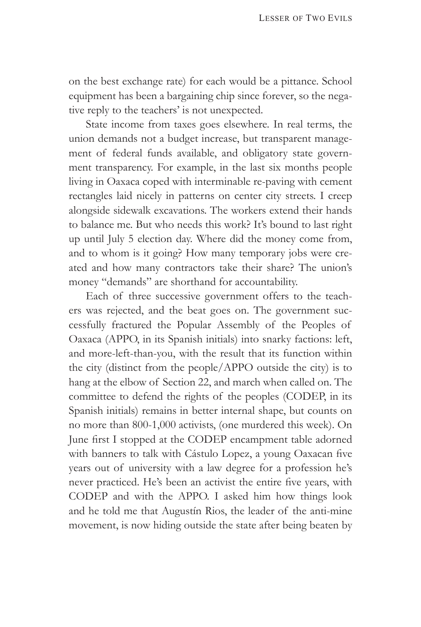on the best exchange rate) for each would be a pittance. School equipment has been a bargaining chip since forever, so the negative reply to the teachers' is not unexpected.

State income from taxes goes elsewhere. In real terms, the union demands not a budget increase, but transparent management of federal funds available, and obligatory state government transparency. For example, in the last six months people living in Oaxaca coped with interminable re-paving with cement rectangles laid nicely in patterns on center city streets. I creep alongside sidewalk excavations. The workers extend their hands to balance me. But who needs this work? It's bound to last right up until July 5 election day. Where did the money come from, and to whom is it going? How many temporary jobs were created and how many contractors take their share? The union's money "demands" are shorthand for accountability.

Each of three successive government offers to the teachers was rejected, and the beat goes on. The government successfully fractured the Popular Assembly of the Peoples of Oaxaca (APPO, in its Spanish initials) into snarky factions: left, and more-left-than-you, with the result that its function within the city (distinct from the people/APPO outside the city) is to hang at the elbow of Section 22, and march when called on. The committee to defend the rights of the peoples (CODEP, in its Spanish initials) remains in better internal shape, but counts on no more than 800-1,000 activists, (one murdered this week). On June first I stopped at the CODEP encampment table adorned with banners to talk with Cástulo Lopez, a young Oaxacan five years out of university with a law degree for a profession he's never practiced. He's been an activist the entire five years, with CODEP and with the APPO. I asked him how things look and he told me that Augustín Rios, the leader of the anti-mine movement, is now hiding outside the state after being beaten by